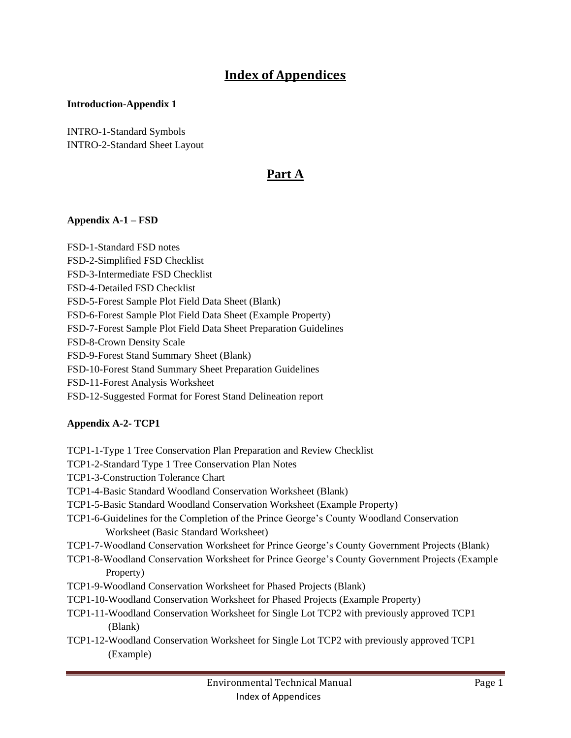# **Index of Appendices**

#### **Introduction-Appendix 1**

INTRO-1-Standard Symbols INTRO-2-Standard Sheet Layout

### **Part A**

### **Appendix A-1 – FSD**

FSD-1-Standard FSD notes FSD-2-Simplified FSD Checklist FSD-3-Intermediate FSD Checklist FSD-4-Detailed FSD Checklist FSD-5-Forest Sample Plot Field Data Sheet (Blank) FSD-6-Forest Sample Plot Field Data Sheet (Example Property) FSD-7-Forest Sample Plot Field Data Sheet Preparation Guidelines FSD-8-Crown Density Scale FSD-9-Forest Stand Summary Sheet (Blank) FSD-10-Forest Stand Summary Sheet Preparation Guidelines FSD-11-Forest Analysis Worksheet FSD-12-Suggested Format for Forest Stand Delineation report

### **Appendix A-2- TCP1**

- TCP1-1-Type 1 Tree Conservation Plan Preparation and Review Checklist
- TCP1-2-Standard Type 1 Tree Conservation Plan Notes
- TCP1-3-Construction Tolerance Chart
- TCP1-4-Basic Standard Woodland Conservation Worksheet (Blank)
- TCP1-5-Basic Standard Woodland Conservation Worksheet (Example Property)
- TCP1-6-Guidelines for the Completion of the Prince George's County Woodland Conservation Worksheet (Basic Standard Worksheet)
- TCP1-7-Woodland Conservation Worksheet for Prince George's County Government Projects (Blank)
- TCP1-8-Woodland Conservation Worksheet for Prince George's County Government Projects (Example Property)
- TCP1-9-Woodland Conservation Worksheet for Phased Projects (Blank)
- TCP1-10-Woodland Conservation Worksheet for Phased Projects (Example Property)
- TCP1-11-Woodland Conservation Worksheet for Single Lot TCP2 with previously approved TCP1 (Blank)
- TCP1-12-Woodland Conservation Worksheet for Single Lot TCP2 with previously approved TCP1 (Example)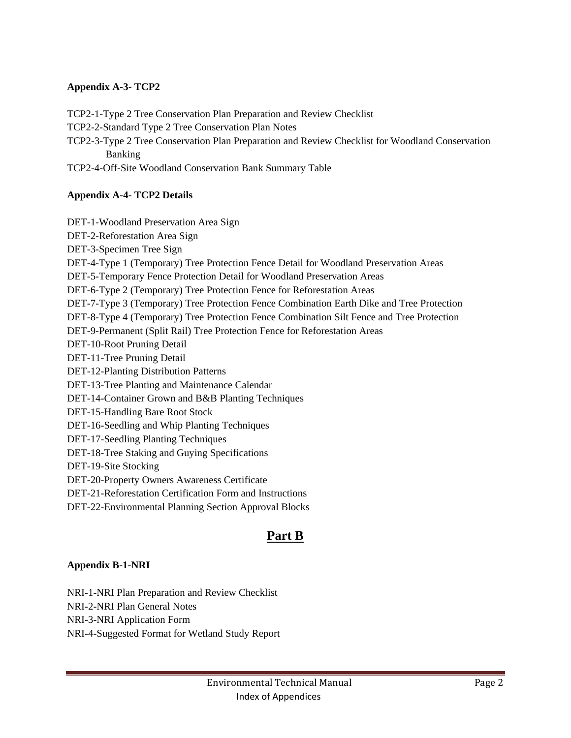### **Appendix A-3- TCP2**

TCP2-1-Type 2 Tree Conservation Plan Preparation and Review Checklist

TCP2-2-Standard Type 2 Tree Conservation Plan Notes

TCP2-3-Type 2 Tree Conservation Plan Preparation and Review Checklist for Woodland Conservation Banking

TCP2-4-Off-Site Woodland Conservation Bank Summary Table

### **Appendix A-4- TCP2 Details**

DET-1-Woodland Preservation Area Sign DET-2-Reforestation Area Sign DET-3-Specimen Tree Sign DET-4-Type 1 (Temporary) Tree Protection Fence Detail for Woodland Preservation Areas DET-5-Temporary Fence Protection Detail for Woodland Preservation Areas DET-6-Type 2 (Temporary) Tree Protection Fence for Reforestation Areas DET-7-Type 3 (Temporary) Tree Protection Fence Combination Earth Dike and Tree Protection DET-8-Type 4 (Temporary) Tree Protection Fence Combination Silt Fence and Tree Protection DET-9-Permanent (Split Rail) Tree Protection Fence for Reforestation Areas DET-10-Root Pruning Detail DET-11-Tree Pruning Detail DET-12-Planting Distribution Patterns DET-13-Tree Planting and Maintenance Calendar DET-14-Container Grown and B&B Planting Techniques DET-15-Handling Bare Root Stock DET-16-Seedling and Whip Planting Techniques DET-17-Seedling Planting Techniques DET-18-Tree Staking and Guying Specifications DET-19-Site Stocking DET-20-Property Owners Awareness Certificate DET-21-Reforestation Certification Form and Instructions DET-22-Environmental Planning Section Approval Blocks

### **Part B**

### **Appendix B-1-NRI**

NRI-1-NRI Plan Preparation and Review Checklist NRI-2-NRI Plan General Notes NRI-3-NRI Application Form NRI-4-Suggested Format for Wetland Study Report